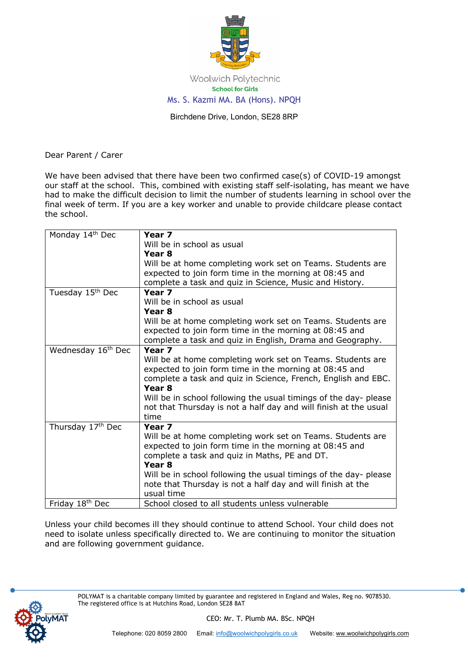

Woolwich Polytechnic **School for Girls** Ms. S. Kazmi MA. BA (Hons). NPQH

Birchdene Drive, London, SE28 8RP

Dear Parent / Carer

We have been advised that there have been two confirmed case(s) of COVID-19 amongst our staff at the school. This, combined with existing staff self-isolating, has meant we have had to make the difficult decision to limit the number of students learning in school over the final week of term. If you are a key worker and unable to provide childcare please contact the school.

| Monday 14th Dec                | Year 7                                                           |
|--------------------------------|------------------------------------------------------------------|
|                                | Will be in school as usual                                       |
|                                | Year 8                                                           |
|                                | Will be at home completing work set on Teams. Students are       |
|                                | expected to join form time in the morning at 08:45 and           |
|                                | complete a task and quiz in Science, Music and History.          |
| Tuesday 15th Dec               | Year <sub>7</sub>                                                |
|                                | Will be in school as usual                                       |
|                                | Year 8                                                           |
|                                | Will be at home completing work set on Teams. Students are       |
|                                | expected to join form time in the morning at 08:45 and           |
|                                | complete a task and quiz in English, Drama and Geography.        |
| Wednesday 16 <sup>th</sup> Dec | Year <sub>7</sub>                                                |
|                                | Will be at home completing work set on Teams. Students are       |
|                                | expected to join form time in the morning at 08:45 and           |
|                                | complete a task and quiz in Science, French, English and EBC.    |
|                                | Year <sub>8</sub>                                                |
|                                | Will be in school following the usual timings of the day- please |
|                                | not that Thursday is not a half day and will finish at the usual |
|                                | time                                                             |
| Thursday 17th Dec              | Year <sub>7</sub>                                                |
|                                | Will be at home completing work set on Teams. Students are       |
|                                | expected to join form time in the morning at 08:45 and           |
|                                | complete a task and quiz in Maths, PE and DT.                    |
|                                | Year <sub>8</sub>                                                |
|                                | Will be in school following the usual timings of the day- please |
|                                | note that Thursday is not a half day and will finish at the      |
|                                | usual time                                                       |
| Friday 18th Dec                | School closed to all students unless vulnerable                  |

Unless your child becomes ill they should continue to attend School. Your child does not need to isolate unless specifically directed to. We are continuing to monitor the situation and are following government guidance.



POLYMAT is a charitable company limited by guarantee and registered in England and Wales, Reg no. 9078530. The registered office is at Hutchins Road, London SE28 8AT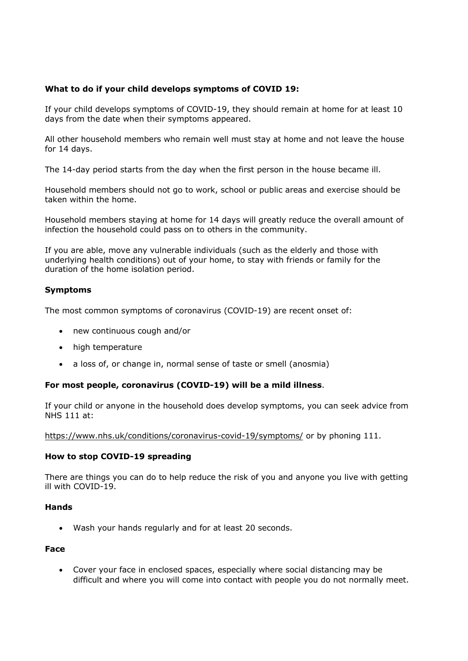# **What to do if your child develops symptoms of COVID 19:**

If your child develops symptoms of COVID-19, they should remain at home for at least 10 days from the date when their symptoms appeared.

All other household members who remain well must stay at home and not leave the house for 14 days.

The 14-day period starts from the day when the first person in the house became ill.

Household members should not go to work, school or public areas and exercise should be taken within the home.

Household members staying at home for 14 days will greatly reduce the overall amount of infection the household could pass on to others in the community.

If you are able, move any vulnerable individuals (such as the elderly and those with underlying health conditions) out of your home, to stay with friends or family for the duration of the home isolation period.

### **Symptoms**

The most common symptoms of coronavirus (COVID-19) are recent onset of:

- new continuous cough and/or
- high temperature
- a loss of, or change in, normal sense of taste or smell (anosmia)

### **For most people, coronavirus (COVID-19) will be a mild illness**.

If your child or anyone in the household does develop symptoms, you can seek advice from NHS 111 at:

https://www.nhs.uk/conditions/coronavirus-covid-19/symptoms/ or by phoning 111.

### **How to stop COVID-19 spreading**

There are things you can do to help reduce the risk of you and anyone you live with getting ill with COVID-19.

### **Hands**

• Wash your hands regularly and for at least 20 seconds.

### **Face**

• Cover your face in enclosed spaces, especially where social distancing may be difficult and where you will come into contact with people you do not normally meet.